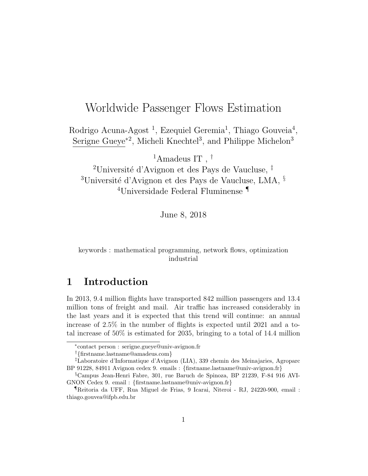## Worldwide Passenger Flows Estimation

Rodrigo Acuna-Agost<sup>1</sup>, Ezequiel Geremia<sup>1</sup>, Thiago Gouveia<sup>4</sup>, Serigne Gueye<sup>\*2</sup>, Micheli Knechtel<sup>3</sup>, and Philippe Michelon<sup>3</sup>

 $^1$  Amadeus IT ,  $^\dagger$ 

<sup>2</sup>Université d'Avignon et des Pays de Vaucluse,  $\frac{1}{4}$ <sup>3</sup>Université d'Avignon et des Pays de Vaucluse, LMA,  $§$ <sup>4</sup>Universidade Federal Fluminense ¶

June 8, 2018

keywords : mathematical programming, network flows, optimization industrial

## 1 Introduction

In 2013, 9.4 million flights have transported 842 million passengers and 13.4 million tons of freight and mail. Air traffic has increased considerably in the last years and it is expected that this trend will continue: an annual increase of 2.5% in the number of flights is expected until 2021 and a total increase of 50% is estimated for 2035, bringing to a total of 14.4 million

†{firstname.lastname@amadeus.com}

<sup>∗</sup> contact person : serigne.gueye@univ-avignon.fr

<sup>‡</sup>Laboratoire d'Informatique d'Avignon (LIA), 339 chemin des Meinajaries, Agroparc BP 91228, 84911 Avignon cedex 9. emails : {firstname.lastname@univ-avignon.fr}

<sup>§</sup>Campus Jean-Henri Fabre, 301, rue Baruch de Spinoza, BP 21239, F-84 916 AVI-GNON Cedex 9. email : {firstname.lastname@univ-avignon.fr}

<sup>¶</sup>Reitoria da UFF, Rua Miguel de Frias, 9 Icarai, Niteroi - RJ, 24220-900, email : thiago.gouvea@ifpb.edu.br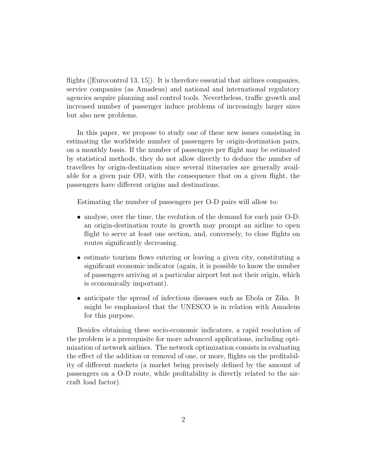flights ([Eurocontrol 13, 15]). It is therefore essential that airlines companies, service companies (as Amadeus) and national and international regulatory agencies acquire planning and control tools. Nevertheless, traffic growth and increased number of passenger induce problems of increasingly larger sizes but also new problems.

In this paper, we propose to study one of these new issues consisting in estimating the worldwide number of passengers by origin-destination pairs, on a monthly basis. If the number of passengers per flight may be estimated by statistical methods, they do not allow directly to deduce the number of travellers by origin-destination since several itineraries are generally available for a given pair OD, with the consequence that on a given flight, the passengers have different origins and destinations.

Estimating the number of passengers per O-D pairs will allow to:

- analyse, over the time, the evolution of the demand for each pair O-D: an origin-destination route in growth may prompt an airline to open flight to serve at least one section, and, conversely, to close flights on routes significantly decreasing.
- estimate tourism flows entering or leaving a given city, constituting a significant economic indicator (again, it is possible to know the number of passengers arriving at a particular airport but not their origin, which is economically important).
- anticipate the spread of infectious diseases such as Ebola or Zika. It might be emphasized that the UNESCO is in relation with Amadeus for this purpose.

Besides obtaining these socio-economic indicators, a rapid resolution of the problem is a prerequisite for more advanced applications, including optimization of network airlines. The network optimization consists in evaluating the effect of the addition or removal of one, or more, flights on the profitability of different markets (a market being precisely defined by the amount of passengers on a O-D route, while profitability is directly related to the aircraft load factor).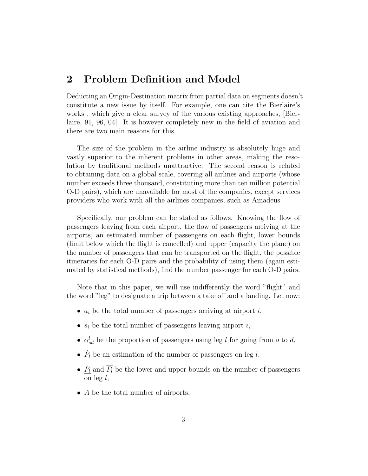## 2 Problem Definition and Model

Deducting an Origin-Destination matrix from partial data on segments doesn't constitute a new issue by itself. For example, one can cite the Bierlaire's works , which give a clear survey of the various existing approaches, [Bierlaire, 91, 96, 04]. It is however completely new in the field of aviation and there are two main reasons for this.

The size of the problem in the airline industry is absolutely huge and vastly superior to the inherent problems in other areas, making the resolution by traditional methods unattractive. The second reason is related to obtaining data on a global scale, covering all airlines and airports (whose number exceeds three thousand, constituting more than ten million potential O-D pairs), which are unavailable for most of the companies, except services providers who work with all the airlines companies, such as Amadeus.

Specifically, our problem can be stated as follows. Knowing the flow of passengers leaving from each airport, the flow of passengers arriving at the airports, an estimated number of passengers on each flight, lower bounds (limit below which the flight is cancelled) and upper (capacity the plane) on the number of passengers that can be transported on the flight, the possible itineraries for each O-D pairs and the probability of using them (again estimated by statistical methods), find the number passenger for each O-D pairs.

Note that in this paper, we will use indifferently the word "flight" and the word "leg" to designate a trip between a take off and a landing. Let now:

- $a_i$  be the total number of passengers arriving at airport  $i$ ,
- $s_i$  be the total number of passengers leaving airport  $i$ ,
- $\alpha_{od}^{l}$  be the proportion of passengers using leg l for going from o to d,
- $\hat{P}_l$  be an estimation of the number of passengers on leg l,
- $P_l$  and  $\overline{P_l}$  be the lower and upper bounds on the number of passengers on leg  $l$ ,
- A be the total number of airports,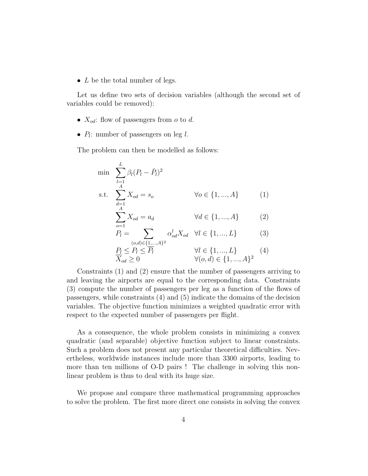•  $L$  be the total number of legs.

Let us define two sets of decision variables (although the second set of variables could be removed):

- $X_{od}$ : flow of passengers from  $o$  to  $d$ .
- $P_l$ : number of passengers on leg  $l$ .

The problem can then be modelled as follows:

$$
\min \sum_{l=1}^{L} \beta_l (P_l - \hat{P}_l)^2
$$
\n
$$
\text{s.t.} \sum_{\substack{d=1 \ \text{A} \\ A}}^{L} X_{od} = s_o \qquad \forall o \in \{1, ..., A\} \tag{1}
$$

$$
\sum_{o=1} X_{od} = a_d \qquad \qquad \forall d \in \{1, ..., A\} \tag{2}
$$

$$
P_l = \sum_{(o,d)\in\{\underline{1,\dots},A\}^2} \alpha_{od}^l X_{od} \quad \forall l \in \{1,...,L\}
$$
 (3)

$$
\frac{P_l \le P_l \le \overline{P_l}}{X_{od} \ge 0} \qquad \qquad \forall l \in \{1, ..., L\} \qquad (4)
$$
\n
$$
\forall (o, d) \in \{1, ..., A\}^2
$$

Constraints (1) and (2) ensure that the number of passengers arriving to and leaving the airports are equal to the corresponding data. Constraints (3) compute the number of passengers per leg as a function of the flows of passengers, while constraints (4) and (5) indicate the domains of the decision variables. The objective function minimizes a weighted quadratic error with respect to the expected number of passengers per flight.

As a consequence, the whole problem consists in minimizing a convex quadratic (and separable) objective function subject to linear constraints. Such a problem does not present any particular theoretical difficulties. Nevertheless, worldwide instances include more than 3300 airports, leading to more than ten millions of O-D pairs ! The challenge in solving this nonlinear problem is thus to deal with its huge size.

We propose and compare three mathematical programming approaches to solve the problem. The first more direct one consists in solving the convex